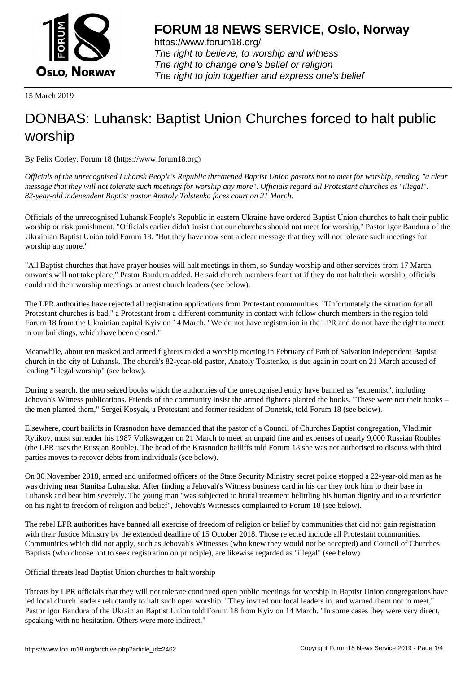

https://www.forum18.org/ The right to believe, to worship and witness The right to change one's belief or religion [The right to join together a](https://www.forum18.org/)nd express one's belief

15 March 2019

## [DONBAS: Luha](https://www.forum18.org)nsk: Baptist Union Churches forced to halt public worship

By Felix Corley, Forum 18 (https://www.forum18.org)

*Officials of the unrecognised Luhansk People's Republic threatened Baptist Union pastors not to meet for worship, sending "a clear message that they will not tolerate such meetings for worship any more". Officials regard all Protestant churches as "illegal". 82-year-old independent Baptist pastor Anatoly Tolstenko faces court on 21 March.*

Officials of the unrecognised Luhansk People's Republic in eastern Ukraine have ordered Baptist Union churches to halt their public worship or risk punishment. "Officials earlier didn't insist that our churches should not meet for worship," Pastor Igor Bandura of the Ukrainian Baptist Union told Forum 18. "But they have now sent a clear message that they will not tolerate such meetings for worship any more."

"All Baptist churches that have prayer houses will halt meetings in them, so Sunday worship and other services from 17 March onwards will not take place," Pastor Bandura added. He said church members fear that if they do not halt their worship, officials could raid their worship meetings or arrest church leaders (see below).

The LPR authorities have rejected all registration applications from Protestant communities. "Unfortunately the situation for all Protestant churches is bad," a Protestant from a different community in contact with fellow church members in the region told Forum 18 from the Ukrainian capital Kyiv on 14 March. "We do not have registration in the LPR and do not have the right to meet in our buildings, which have been closed."

Meanwhile, about ten masked and armed fighters raided a worship meeting in February of Path of Salvation independent Baptist church in the city of Luhansk. The church's 82-year-old pastor, Anatoly Tolstenko, is due again in court on 21 March accused of leading "illegal worship" (see below).

During a search, the men seized books which the authorities of the unrecognised entity have banned as "extremist", including Jehovah's Witness publications. Friends of the community insist the armed fighters planted the books. "These were not their books – the men planted them," Sergei Kosyak, a Protestant and former resident of Donetsk, told Forum 18 (see below).

Elsewhere, court bailiffs in Krasnodon have demanded that the pastor of a Council of Churches Baptist congregation, Vladimir Rytikov, must surrender his 1987 Volkswagen on 21 March to meet an unpaid fine and expenses of nearly 9,000 Russian Roubles (the LPR uses the Russian Rouble). The head of the Krasnodon bailiffs told Forum 18 she was not authorised to discuss with third parties moves to recover debts from individuals (see below).

On 30 November 2018, armed and uniformed officers of the State Security Ministry secret police stopped a 22-year-old man as he was driving near Stanitsa Luhanska. After finding a Jehovah's Witness business card in his car they took him to their base in Luhansk and beat him severely. The young man "was subjected to brutal treatment belittling his human dignity and to a restriction on his right to freedom of religion and belief", Jehovah's Witnesses complained to Forum 18 (see below).

The rebel LPR authorities have banned all exercise of freedom of religion or belief by communities that did not gain registration with their Justice Ministry by the extended deadline of 15 October 2018. Those rejected include all Protestant communities. Communities which did not apply, such as Jehovah's Witnesses (who knew they would not be accepted) and Council of Churches Baptists (who choose not to seek registration on principle), are likewise regarded as "illegal" (see below).

Official threats lead Baptist Union churches to halt worship

Threats by LPR officials that they will not tolerate continued open public meetings for worship in Baptist Union congregations have led local church leaders reluctantly to halt such open worship. "They invited our local leaders in, and warned them not to meet," Pastor Igor Bandura of the Ukrainian Baptist Union told Forum 18 from Kyiv on 14 March. "In some cases they were very direct, speaking with no hesitation. Others were more indirect."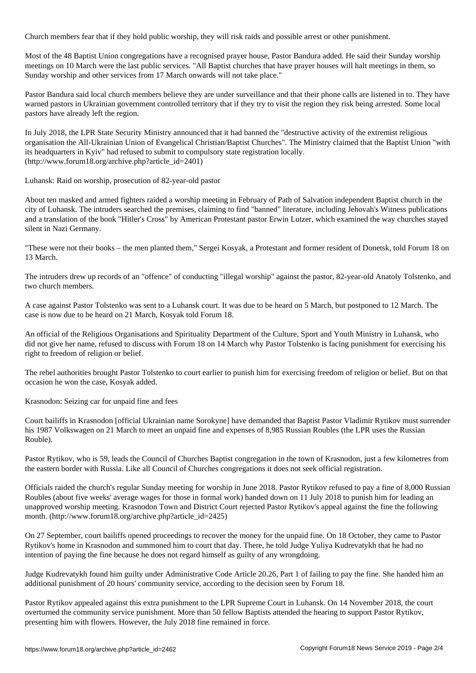Church members fear that if they hold public worship, they will risk raids and possible arrest or other punishment.

Most of the 48 Baptist Union congregations have a recognised prayer house, Pastor Bandura added. He said their Sunday worship meetings on 10 March were the last public services. "All Baptist churches that have prayer houses will halt meetings in them, so Sunday worship and other services from 17 March onwards will not take place."

Pastor Bandura said local church members believe they are under surveillance and that their phone calls are listened in to. They have warned pastors in Ukrainian government controlled territory that if they try to visit the region they risk being arrested. Some local pastors have already left the region.

In July 2018, the LPR State Security Ministry announced that it had banned the "destructive activity of the extremist religious organisation the All-Ukrainian Union of Evangelical Christian/Baptist Churches". The Ministry claimed that the Baptist Union "with its headquarters in Kyiv" had refused to submit to compulsory state registration locally. (http://www.forum18.org/archive.php?article\_id=2401)

Luhansk: Raid on worship, prosecution of 82-year-old pastor

About ten masked and armed fighters raided a worship meeting in February of Path of Salvation independent Baptist church in the city of Luhansk. The intruders searched the premises, claiming to find "banned" literature, including Jehovah's Witness publications and a translation of the book "Hitler's Cross" by American Protestant pastor Erwin Lutzer, which examined the way churches stayed silent in Nazi Germany.

"These were not their books – the men planted them," Sergei Kosyak, a Protestant and former resident of Donetsk, told Forum 18 on 13 March.

The intruders drew up records of an "offence" of conducting "illegal worship" against the pastor, 82-year-old Anatoly Tolstenko, and two church members.

A case against Pastor Tolstenko was sent to a Luhansk court. It was due to be heard on 5 March, but postponed to 12 March. The case is now due to be heard on 21 March, Kosyak told Forum 18.

An official of the Religious Organisations and Spirituality Department of the Culture, Sport and Youth Ministry in Luhansk, who did not give her name, refused to discuss with Forum 18 on 14 March why Pastor Tolstenko is facing punishment for exercising his right to freedom of religion or belief.

The rebel authorities brought Pastor Tolstenko to court earlier to punish him for exercising freedom of religion or belief. But on that occasion he won the case, Kosyak added.

Krasnodon: Seizing car for unpaid fine and fees

Court bailiffs in Krasnodon [official Ukrainian name Sorokyne] have demanded that Baptist Pastor Vladimir Rytikov must surrender his 1987 Volkswagen on 21 March to meet an unpaid fine and expenses of 8,985 Russian Roubles (the LPR uses the Russian Rouble).

Pastor Rytikov, who is 59, leads the Council of Churches Baptist congregation in the town of Krasnodon, just a few kilometres from the eastern border with Russia. Like all Council of Churches congregations it does not seek official registration.

Officials raided the church's regular Sunday meeting for worship in June 2018. Pastor Rytikov refused to pay a fine of 8,000 Russian Roubles (about five weeks' average wages for those in formal work) handed down on 11 July 2018 to punish him for leading an unapproved worship meeting. Krasnodon Town and District Court rejected Pastor Rytikov's appeal against the fine the following month. (http://www.forum18.org/archive.php?article\_id=2425)

On 27 September, court bailiffs opened proceedings to recover the money for the unpaid fine. On 18 October, they came to Pastor Rytikov's home in Krasnodon and summoned him to court that day. There, he told Judge Yuliya Kudrevatykh that he had no intention of paying the fine because he does not regard himself as guilty of any wrongdoing.

Judge Kudrevatykh found him guilty under Administrative Code Article 20.26, Part 1 of failing to pay the fine. She handed him an additional punishment of 20 hours' community service, according to the decision seen by Forum 18.

Pastor Rytikov appealed against this extra punishment to the LPR Supreme Court in Luhansk. On 14 November 2018, the court overturned the community service punishment. More than 50 fellow Baptists attended the hearing to support Pastor Rytikov, presenting him with flowers. However, the July 2018 fine remained in force.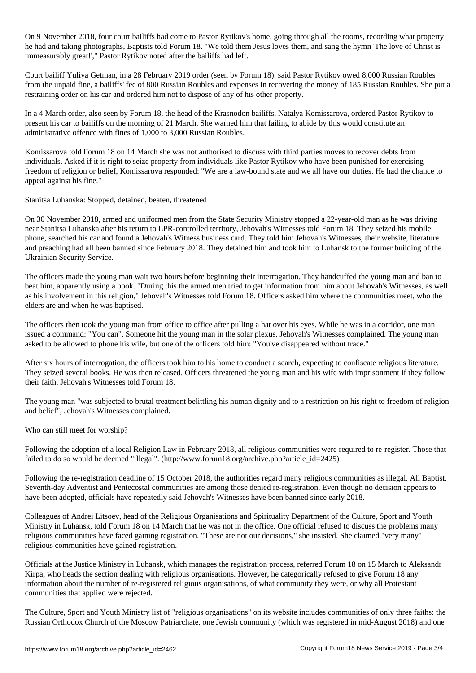On 9 November 2018, four court bailiffs had come to Pastor Rytikov's home, going through all the rooms, recording what property he had and taking photographs, Baptists told Forum 18. "We told them Jesus loves them, and sang the hymn 'The love of Christ is immeasurably great!'," Pastor Rytikov noted after the bailiffs had left.

Court bailiff Yuliya Getman, in a 28 February 2019 order (seen by Forum 18), said Pastor Rytikov owed 8,000 Russian Roubles from the unpaid fine, a bailiffs' fee of 800 Russian Roubles and expenses in recovering the money of 185 Russian Roubles. She put a restraining order on his car and ordered him not to dispose of any of his other property.

In a 4 March order, also seen by Forum 18, the head of the Krasnodon bailiffs, Natalya Komissarova, ordered Pastor Rytikov to present his car to bailiffs on the morning of 21 March. She warned him that failing to abide by this would constitute an administrative offence with fines of 1,000 to 3,000 Russian Roubles.

Komissarova told Forum 18 on 14 March she was not authorised to discuss with third parties moves to recover debts from individuals. Asked if it is right to seize property from individuals like Pastor Rytikov who have been punished for exercising freedom of religion or belief, Komissarova responded: "We are a law-bound state and we all have our duties. He had the chance to appeal against his fine."

Stanitsa Luhanska: Stopped, detained, beaten, threatened

On 30 November 2018, armed and uniformed men from the State Security Ministry stopped a 22-year-old man as he was driving near Stanitsa Luhanska after his return to LPR-controlled territory, Jehovah's Witnesses told Forum 18. They seized his mobile phone, searched his car and found a Jehovah's Witness business card. They told him Jehovah's Witnesses, their website, literature and preaching had all been banned since February 2018. They detained him and took him to Luhansk to the former building of the Ukrainian Security Service.

The officers made the young man wait two hours before beginning their interrogation. They handcuffed the young man and ban to beat him, apparently using a book. "During this the armed men tried to get information from him about Jehovah's Witnesses, as well as his involvement in this religion," Jehovah's Witnesses told Forum 18. Officers asked him where the communities meet, who the elders are and when he was baptised.

The officers then took the young man from office to office after pulling a hat over his eyes. While he was in a corridor, one man issued a command: "You can". Someone hit the young man in the solar plexus, Jehovah's Witnesses complained. The young man asked to be allowed to phone his wife, but one of the officers told him: "You've disappeared without trace."

After six hours of interrogation, the officers took him to his home to conduct a search, expecting to confiscate religious literature. They seized several books. He was then released. Officers threatened the young man and his wife with imprisonment if they follow their faith, Jehovah's Witnesses told Forum 18.

The young man "was subjected to brutal treatment belittling his human dignity and to a restriction on his right to freedom of religion and belief", Jehovah's Witnesses complained.

Who can still meet for worship?

Following the adoption of a local Religion Law in February 2018, all religious communities were required to re-register. Those that failed to do so would be deemed "illegal". (http://www.forum18.org/archive.php?article\_id=2425)

Following the re-registration deadline of 15 October 2018, the authorities regard many religious communities as illegal. All Baptist, Seventh-day Adventist and Pentecostal communities are among those denied re-registration. Even though no decision appears to have been adopted, officials have repeatedly said Jehovah's Witnesses have been banned since early 2018.

Colleagues of Andrei Litsoev, head of the Religious Organisations and Spirituality Department of the Culture, Sport and Youth Ministry in Luhansk, told Forum 18 on 14 March that he was not in the office. One official refused to discuss the problems many religious communities have faced gaining registration. "These are not our decisions," she insisted. She claimed "very many" religious communities have gained registration.

Officials at the Justice Ministry in Luhansk, which manages the registration process, referred Forum 18 on 15 March to Aleksandr Kirpa, who heads the section dealing with religious organisations. However, he categorically refused to give Forum 18 any information about the number of re-registered religious organisations, of what community they were, or why all Protestant communities that applied were rejected.

The Culture, Sport and Youth Ministry list of "religious organisations" on its website includes communities of only three faiths: the Russian Orthodox Church of the Moscow Patriarchate, one Jewish community (which was registered in mid-August 2018) and one